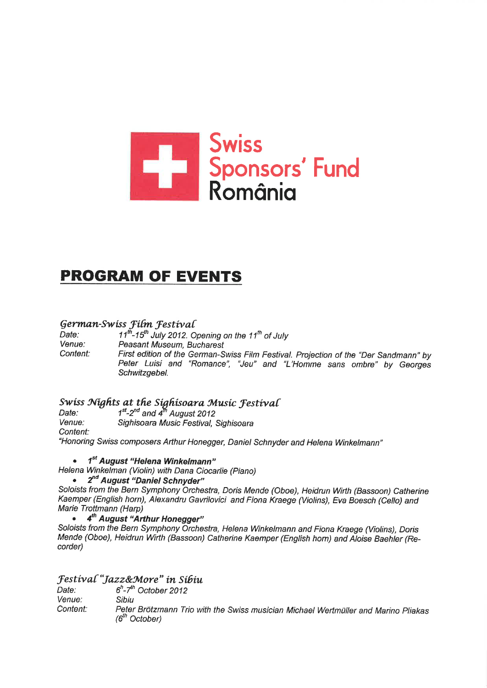

## **PROGRAM OF EVENTS**

## German-Swiss Film Festival

11<sup>th</sup>-15<sup>th</sup> July 2012. Opening on the 11<sup>th</sup> of July Date: Venue: Peasant Museum, Bucharest Content: First edition of the German-Swiss Film Festival. Projection of the "Der Sandmann" by Peter Luisi and "Romance", "Jeu" and "L'Homme sans ombre" by Georges Schwitzgebel.

# Swiss Nights at the Sighisoara Music Festival<br>Date:  $1^{st}$ -2<sup>nd</sup> and 4<sup>th</sup> August 2012

Venue: Sighisoara Music Festival, Sighisoara

Content:

"Honoring Swiss composers Arthur Honegger, Daniel Schnyder and Helena Winkelmann"

### • 1<sup>st</sup> August "Helena Winkelmann"

Helena Winkelman (Violin) with Dana Ciocarlie (Piano)

## • 2<sup>nd</sup> August "Daniel Schnyder"

Soloists from the Bern Symphony Orchestra, Doris Mende (Oboe), Heidrun Wirth (Bassoon) Catherine Kaemper (English horn), Alexandru Gavrilovici and Fiona Kraege (Violins), Eva Boesch (Cello) and Marie Trottmann (Harp)

#### 4<sup>th</sup> August "Arthur Honegger"  $\bullet$

Soloists from the Bern Symphony Orchestra, Helena Winkelmann and Fiona Kraege (Violins), Doris Mende (Oboe), Heidrun Wirth (Bassoon) Catherine Kaemper (English horn) and Aloise Baehler (Recorder)

## **Festival "Jazz&More" in Sibiu**

 $6<sup>h</sup>$ -7<sup>th</sup> October 2012 Date: Venue: Sibiu Peter Brötzmann Trio with the Swiss musician Michael Wertmüller and Marino Pliakas Content: (6<sup>th</sup> October)